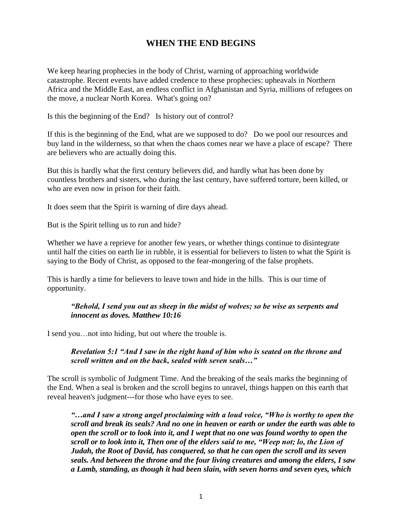# **WHEN THE END BEGINS**

We keep hearing prophecies in the body of Christ, warning of approaching worldwide catastrophe. Recent events have added credence to these prophecies: upheavals in Northern Africa and the Middle East, an endless conflict in Afghanistan and Syria, millions of refugees on the move, a nuclear North Korea. What's going on?

Is this the beginning of the End? Is history out of control?

If this is the beginning of the End, what are we supposed to do? Do we pool our resources and buy land in the wilderness, so that when the chaos comes near we have a place of escape? There are believers who are actually doing this.

But this is hardly what the first century believers did, and hardly what has been done by countless brothers and sisters, who during the last century, have suffered torture, been killed, or who are even now in prison for their faith.

It does seem that the Spirit is warning of dire days ahead.

But is the Spirit telling us to run and hide?

Whether we have a reprieve for another few years, or whether things continue to disintegrate until half the cities on earth lie in rubble, it is essential for believers to listen to what the Spirit is saying to the Body of Christ, as opposed to the fear-mongering of the false prophets.

This is hardly a time for believers to leave town and hide in the hills. This is our time of opportunity.

#### *"Behold, I send you out as sheep in the midst of wolves; so be wise as serpents and innocent as doves. Matthew 10:16*

I send you…not into hiding, but out where the trouble is.

*Revelation 5:1 "And I saw in the right hand of him who is seated on the throne and scroll written and on the back, sealed with seven seals…"*

The scroll is symbolic of Judgment Time. And the breaking of the seals marks the beginning of the End. When a seal is broken and the scroll begins to unravel, things happen on this earth that reveal heaven's judgment---for those who have eyes to see.

*"…and I saw a strong angel proclaiming with a loud voice, "Who is worthy to open the scroll and break its seals? And no one in heaven or earth or under the earth was able to open the scroll or to look into it, and I wept that no one was found worthy to open the scroll or to look into it, Then one of the elders said to me, "Weep not; lo, the Lion of Judah, the Root of David, has conquered, so that he can open the scroll and its seven seals. And between the throne and the four living creatures and among the elders, I saw a Lamb, standing, as though it had been slain, with seven horns and seven eyes, which*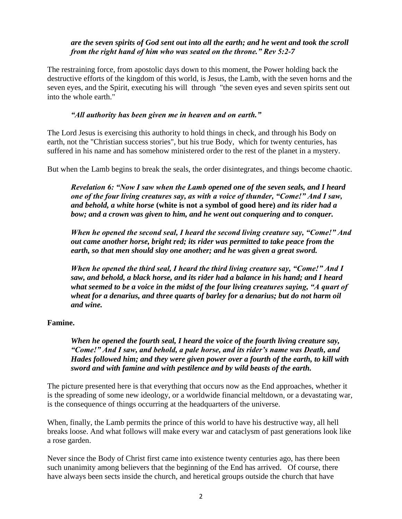### *are the seven spirits of God sent out into all the earth; and he went and took the scroll from the right hand of him who was seated on the throne." Rev 5:2-7*

The restraining force, from apostolic days down to this moment, the Power holding back the destructive efforts of the kingdom of this world, is Jesus, the Lamb, with the seven horns and the seven eyes, and the Spirit, executing his will through "the seven eyes and seven spirits sent out into the whole earth."

#### *"All authority has been given me in heaven and on earth."*

The Lord Jesus is exercising this authority to hold things in check, and through his Body on earth, not the "Christian success stories", but his true Body, which for twenty centuries, has suffered in his name and has somehow ministered order to the rest of the planet in a mystery.

But when the Lamb begins to break the seals, the order disintegrates, and things become chaotic.

*Revelation 6: "Now I saw when the Lamb opened one of the seven seals, and I heard one of the four living creatures say, as with a voice of thunder, "Come!" And I saw, and behold, a white horse* **(white is not a symbol of good here)** *and its rider had a bow; and a crown was given to him, and he went out conquering and to conquer.* 

*When he opened the second seal, I heard the second living creature say, "Come!" And out came another horse, bright red; its rider was permitted to take peace from the earth, so that men should slay one another; and he was given a great sword.*

*When he opened the third seal, I heard the third living creature say, "Come!" And I saw, and behold, a black horse, and its rider had a balance in his hand; and I heard what seemed to be a voice in the midst of the four living creatures saying, "A quart of wheat for a denarius, and three quarts of barley for a denarius; but do not harm oil and wine.*

#### **Famine.**

*When he opened the fourth seal, I heard the voice of the fourth living creature say, "Come!" And I saw, and behold, a pale horse, and its rider's name was Death, and Hades followed him; and they were given power over a fourth of the earth, to kill with sword and with famine and with pestilence and by wild beasts of the earth.*

The picture presented here is that everything that occurs now as the End approaches, whether it is the spreading of some new ideology, or a worldwide financial meltdown, or a devastating war, is the consequence of things occurring at the headquarters of the universe.

When, finally, the Lamb permits the prince of this world to have his destructive way, all hell breaks loose. And what follows will make every war and cataclysm of past generations look like a rose garden.

Never since the Body of Christ first came into existence twenty centuries ago, has there been such unanimity among believers that the beginning of the End has arrived. Of course, there have always been sects inside the church, and heretical groups outside the church that have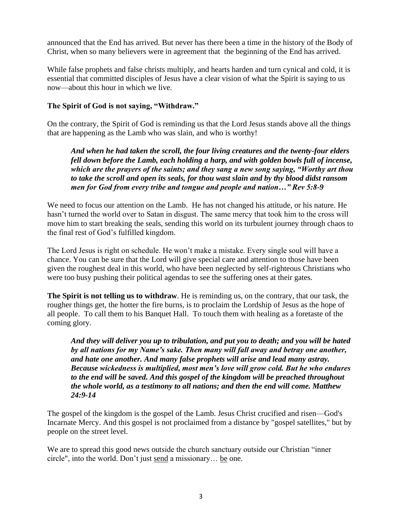announced that the End has arrived. But never has there been a time in the history of the Body of Christ, when so many believers were in agreement that the beginning of the End has arrived.

While false prophets and false christs multiply, and hearts harden and turn cynical and cold, it is essential that committed disciples of Jesus have a clear vision of what the Spirit is saying to us now—about this hour in which we live.

## **The Spirit of God is not saying, "Withdraw."**

On the contrary, the Spirit of God is reminding us that the Lord Jesus stands above all the things that are happening as the Lamb who was slain, and who is worthy!

*And when he had taken the scroll, the four living creatures and the twenty-four elders fell down before the Lamb, each holding a harp, and with golden bowls full of incense, which are the prayers of the saints; and they sang a new song saying, "Worthy art thou to take the scroll and open its seals, for thou wast slain and by thy blood didst ransom men for God from every tribe and tongue and people and nation…" Rev 5:8-9*

We need to focus our attention on the Lamb. He has not changed his attitude, or his nature. He hasn't turned the world over to Satan in disgust. The same mercy that took him to the cross will move him to start breaking the seals, sending this world on its turbulent journey through chaos to the final rest of God's fulfilled kingdom.

The Lord Jesus is right on schedule. He won't make a mistake. Every single soul will have a chance. You can be sure that the Lord will give special care and attention to those have been given the roughest deal in this world, who have been neglected by self-righteous Christians who were too busy pushing their political agendas to see the suffering ones at their gates.

**The Spirit is not telling us to withdraw**. He is reminding us, on the contrary, that our task, the rougher things get, the hotter the fire burns, is to proclaim the Lordship of Jesus as the hope of all people. To call them to his Banquet Hall. To touch them with healing as a foretaste of the coming glory.

*And they will deliver you up to tribulation, and put you to death; and you will be hated by all nations for my Name's sake. Then many will fall away and betray one another, and hate one another. And many false prophets will arise and lead many astray. Because wickedness is multiplied, most men's love will grow cold. But he who endures to the end will be saved. And this gospel of the kingdom will be preached throughout the whole world, as a testimony to all nations; and then the end will come. Matthew 24:9-14*

The gospel of the kingdom is the gospel of the Lamb. Jesus Christ crucified and risen—God's Incarnate Mercy. And this gospel is not proclaimed from a distance by "gospel satellites," but by people on the street level.

We are to spread this good news outside the church sanctuary outside our Christian "inner circle", into the world. Don't just send a missionary… be one.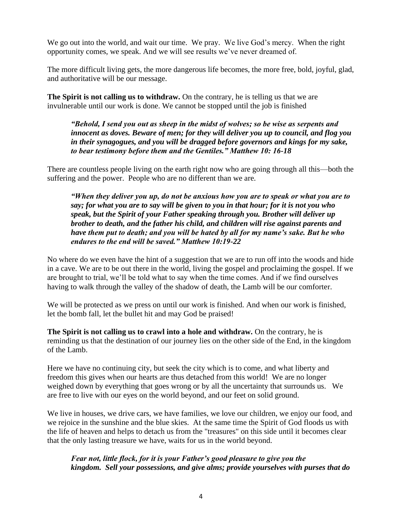We go out into the world, and wait our time. We pray. We live God's mercy. When the right opportunity comes, we speak. And we will see results we've never dreamed of.

The more difficult living gets, the more dangerous life becomes, the more free, bold, joyful, glad, and authoritative will be our message.

**The Spirit is not calling us to withdraw.** On the contrary, he is telling us that we are invulnerable until our work is done. We cannot be stopped until the job is finished

*"Behold, I send you out as sheep in the midst of wolves; so be wise as serpents and innocent as doves. Beware of men; for they will deliver you up to council, and flog you in their synagogues, and you will be dragged before governors and kings for my sake, to bear testimony before them and the Gentiles." Matthew 10: 16-18*

There are countless people living on the earth right now who are going through all this—both the suffering and the power. People who are no different than we are.

*"When they deliver you up, do not be anxious how you are to speak or what you are to say; for what you are to say will be given to you in that hour; for it is not you who speak, but the Spirit of your Father speaking through you. Brother will deliver up brother to death, and the father his child, and children will rise against parents and have them put to death; and you will be hated by all for my name's sake. But he who endures to the end will be saved." Matthew 10:19-22*

No where do we even have the hint of a suggestion that we are to run off into the woods and hide in a cave. We are to be out there in the world, living the gospel and proclaiming the gospel. If we are brought to trial, we'll be told what to say when the time comes. And if we find ourselves having to walk through the valley of the shadow of death, the Lamb will be our comforter.

We will be protected as we press on until our work is finished. And when our work is finished, let the bomb fall, let the bullet hit and may God be praised!

**The Spirit is not calling us to crawl into a hole and withdraw.** On the contrary, he is reminding us that the destination of our journey lies on the other side of the End, in the kingdom of the Lamb.

Here we have no continuing city, but seek the city which is to come, and what liberty and freedom this gives when our hearts are thus detached from this world! We are no longer weighed down by everything that goes wrong or by all the uncertainty that surrounds us. We are free to live with our eyes on the world beyond, and our feet on solid ground.

We live in houses, we drive cars, we have families, we love our children, we enjoy our food, and we rejoice in the sunshine and the blue skies. At the same time the Spirit of God floods us with the life of heaven and helps to detach us from the "treasures" on this side until it becomes clear that the only lasting treasure we have, waits for us in the world beyond.

# *Fear not, little flock, for it is your Father's good pleasure to give you the kingdom. Sell your possessions, and give alms; provide yourselves with purses that do*